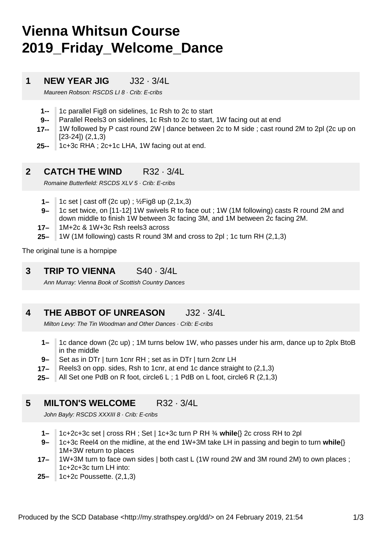# **Vienna Whitsun Course 2019\_Friday\_Welcome\_Dance**

#### **1 NEW YEAR JIG** J32 · 3/4L

Maureen Robson: RSCDS LI 8 · Crib: E-cribs

- **1--** 1c parallel Fig8 on sidelines, 1c Rsh to 2c to start
- **9--** Parallel Reels3 on sidelines, 1c Rsh to 2c to start, 1W facing out at end
- **17--** 1W followed by P cast round 2W | dance between 2c to M side ; cast round 2M to 2pl (2c up on [23-24]) (2,1,3)
- **25--** 1c+3c RHA ; 2c+1c LHA, 1W facing out at end.

#### **2 CATCH THE WIND** R32 · 3/4L

Romaine Butterfield: RSCDS XLV 5 · Crib: E-cribs

- **1–** 1c set | cast off (2c up) ; ½Fig8 up (2,1x,3)
- **9–** 1c set twice, on [11-12] 1W swivels R to face out ; 1W (1M following) casts R round 2M and down middle to finish 1W between 3c facing 3M, and 1M between 2c facing 2M.
- **17–** 1M+2c & 1W+3c Rsh reels3 across
- **25–** 1W (1M following) casts R round 3M and cross to 2pl ; 1c turn RH (2,1,3)

The original tune is a hornpipe

**3 TRIP TO VIENNA** S40 · 3/4L

Ann Murray: Vienna Book of Scottish Country Dances

#### **4 THE ABBOT OF UNREASON** J32 · 3/4L

Milton Levy: The Tin Woodman and Other Dances · Crib: E-cribs

- **1–** 1c dance down (2c up) ; 1M turns below 1W, who passes under his arm, dance up to 2plx BtoB in the middle
- **9–** Set as in DTr | turn 1cnr RH ; set as in DTr | turn 2cnr LH
- **17–** Reels3 on opp. sides, Rsh to 1cnr, at end 1c dance straight to (2,1,3)
- **25–** All Set one PdB on R foot, circle6 L ; 1 PdB on L foot, circle6 R (2,1,3)

#### **5 MILTON'S WELCOME** R32 · 3/4L

John Bayly: RSCDS XXXIII 8 · Crib: E-cribs

- **1–** 1c+2c+3c set | cross RH ; Set | 1c+3c turn P RH ¾ **while**{} 2c cross RH to 2pl
- **9–** 1c+3c Reel4 on the midline, at the end 1W+3M take LH in passing and begin to turn **while**{} 1M+3W return to places
- **17–** 1W+3M turn to face own sides | both cast L (1W round 2W and 3M round 2M) to own places ; 1c+2c+3c turn LH into:
- **25–** 1c+2c Poussette. (2,1,3)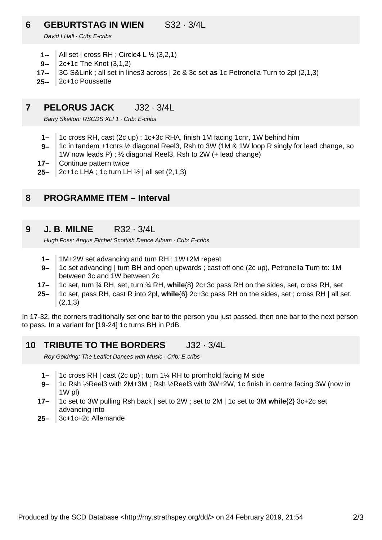### **6 GEBURTSTAG IN WIEN** S32 · 3/4L

David I Hall · Crib: E-cribs

- **1--** All set | cross RH ; Circle4 L ½ (3,2,1)
- **9--** 2c+1c The Knot (3,1,2)
- **17--** 3C S&Link ; all set in lines3 across | 2c & 3c set **as** 1c Petronella Turn to 2pl (2,1,3)
- **25--** 2c+1c Poussette

#### **7 PELORUS JACK** J32 · 3/4L

Barry Skelton: RSCDS XLI 1 · Crib: E-cribs

- **1–** 1c cross RH, cast (2c up) ; 1c+3c RHA, finish 1M facing 1cnr, 1W behind him
- **9–** 1c in tandem +1cnrs ½ diagonal Reel3, Rsh to 3W (1M & 1W loop R singly for lead change, so 1W now leads P) ; ½ diagonal Reel3, Rsh to 2W (+ lead change)
- **17–** Continue pattern twice
- **25–** 2c+1c LHA ; 1c turn LH ½ | all set (2,1,3)

#### **8 PROGRAMME ITEM – Interval**

**9 J. B. MILNE** R32 · 3/4L

Hugh Foss: Angus Fitchet Scottish Dance Album · Crib: E-cribs

- **1–** 1M+2W set advancing and turn RH ; 1W+2M repeat
- **9–** 1c set advancing | turn BH and open upwards ; cast off one (2c up), Petronella Turn to: 1M between 3c and 1W between 2c
- **17–** 1c set, turn ¾ RH, set, turn ¾ RH, **while**{8} 2c+3c pass RH on the sides, set, cross RH, set
- **25–** 1c set, pass RH, cast R into 2pl, **while**{6} 2c+3c pass RH on the sides, set ; cross RH | all set.  $(2,1,3)$

In 17-32, the corners traditionally set one bar to the person you just passed, then one bar to the next person to pass. In a variant for [19-24] 1c turns BH in PdB.

#### **10 TRIBUTE TO THE BORDERS** J32 · 3/4L

Roy Goldring: The Leaflet Dances with Music · Crib: E-cribs

- **1–** 1c cross RH | cast (2c up) ; turn 1¼ RH to promhold facing M side
- **9–** 1c Rsh ½Reel3 with 2M+3M ; Rsh ½Reel3 with 3W+2W, 1c finish in centre facing 3W (now in 1W pl)
- **17–** 1c set to 3W pulling Rsh back | set to 2W ; set to 2M | 1c set to 3M **while**{2} 3c+2c set advancing into
- **25–** 3c+1c+2c Allemande